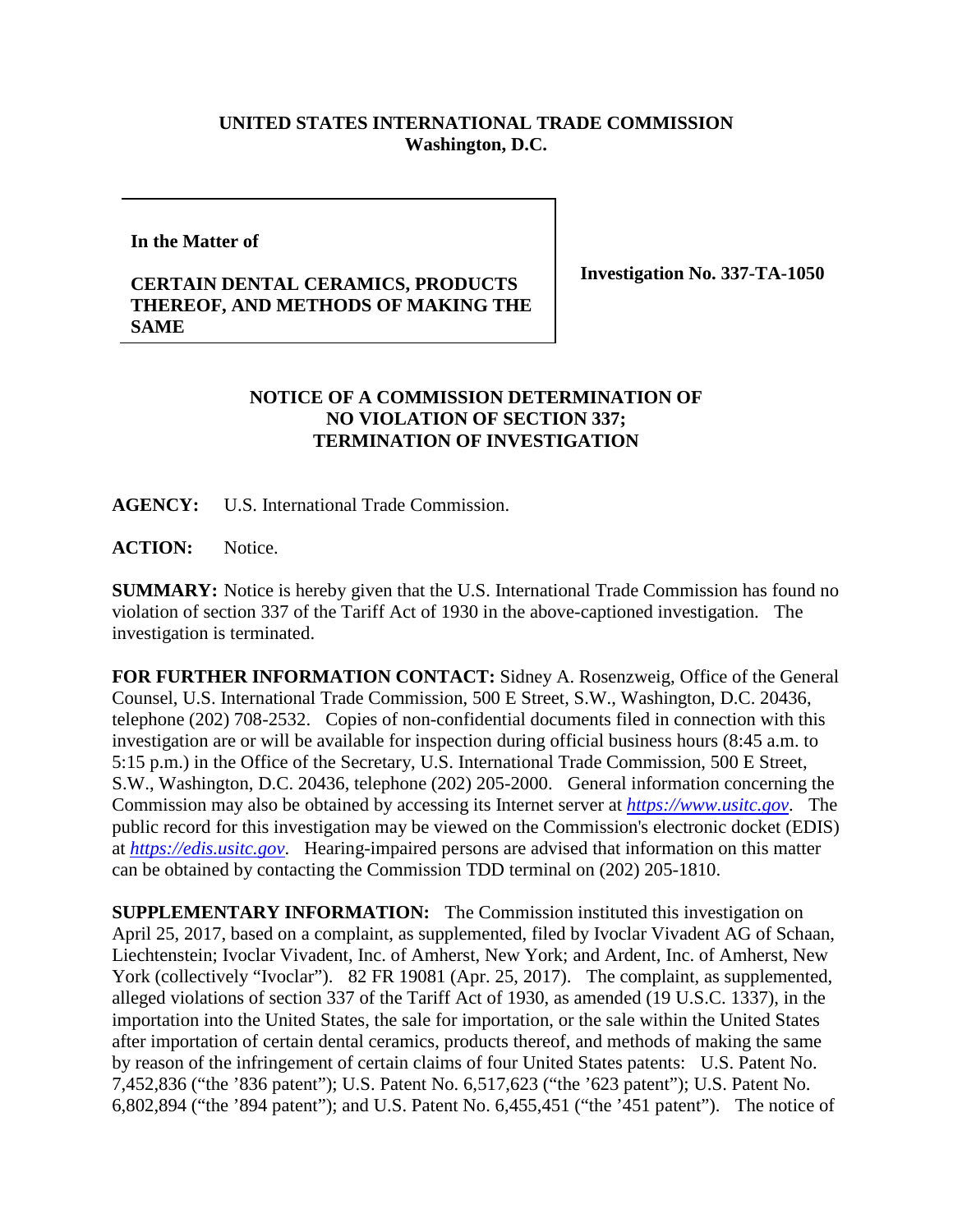## **UNITED STATES INTERNATIONAL TRADE COMMISSION Washington, D.C.**

## **In the Matter of**

## **CERTAIN DENTAL CERAMICS, PRODUCTS THEREOF, AND METHODS OF MAKING THE SAME**

**Investigation No. 337-TA-1050**

## **NOTICE OF A COMMISSION DETERMINATION OF NO VIOLATION OF SECTION 337; TERMINATION OF INVESTIGATION**

**AGENCY:** U.S. International Trade Commission.

ACTION: Notice.

**SUMMARY:** Notice is hereby given that the U.S. International Trade Commission has found no violation of section 337 of the Tariff Act of 1930 in the above-captioned investigation. The investigation is terminated.

**FOR FURTHER INFORMATION CONTACT:** Sidney A. Rosenzweig, Office of the General Counsel, U.S. International Trade Commission, 500 E Street, S.W., Washington, D.C. 20436, telephone (202) 708-2532. Copies of non-confidential documents filed in connection with this investigation are or will be available for inspection during official business hours (8:45 a.m. to 5:15 p.m.) in the Office of the Secretary, U.S. International Trade Commission, 500 E Street, S.W., Washington, D.C. 20436, telephone (202) 205-2000. General information concerning the Commission may also be obtained by accessing its Internet server at *[https://www.usitc.gov](https://www.usitc.gov/)*. The public record for this investigation may be viewed on the Commission's electronic docket (EDIS) at *[https://edis.usitc.gov](https://edis.usitc.gov/)*. Hearing-impaired persons are advised that information on this matter can be obtained by contacting the Commission TDD terminal on (202) 205-1810.

**SUPPLEMENTARY INFORMATION:** The Commission instituted this investigation on April 25, 2017, based on a complaint, as supplemented, filed by Ivoclar Vivadent AG of Schaan, Liechtenstein; Ivoclar Vivadent, Inc. of Amherst, New York; and Ardent, Inc. of Amherst, New York (collectively "Ivoclar"). 82 FR 19081 (Apr. 25, 2017). The complaint, as supplemented, alleged violations of section 337 of the Tariff Act of 1930, as amended (19 U.S.C. 1337), in the importation into the United States, the sale for importation, or the sale within the United States after importation of certain dental ceramics, products thereof, and methods of making the same by reason of the infringement of certain claims of four United States patents: U.S. Patent No. 7,452,836 ("the '836 patent"); U.S. Patent No. 6,517,623 ("the '623 patent"); U.S. Patent No. 6,802,894 ("the '894 patent"); and U.S. Patent No. 6,455,451 ("the '451 patent"). The notice of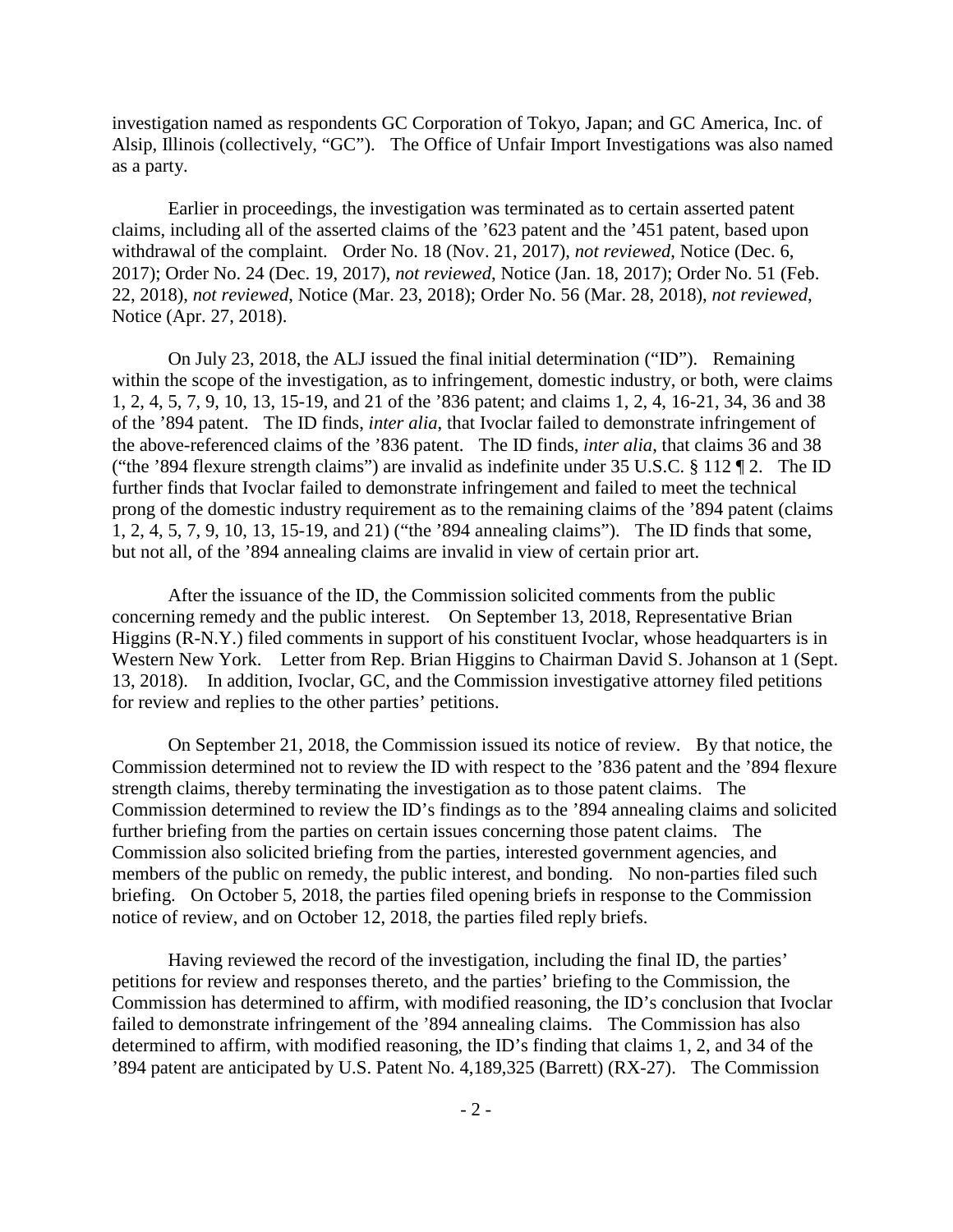investigation named as respondents GC Corporation of Tokyo, Japan; and GC America, Inc. of Alsip, Illinois (collectively, "GC"). The Office of Unfair Import Investigations was also named as a party.

Earlier in proceedings, the investigation was terminated as to certain asserted patent claims, including all of the asserted claims of the '623 patent and the '451 patent, based upon withdrawal of the complaint. Order No. 18 (Nov. 21, 2017), *not reviewed*, Notice (Dec. 6, 2017); Order No. 24 (Dec. 19, 2017), *not reviewed*, Notice (Jan. 18, 2017); Order No. 51 (Feb. 22, 2018), *not reviewed*, Notice (Mar. 23, 2018); Order No. 56 (Mar. 28, 2018), *not reviewed*, Notice (Apr. 27, 2018).

On July 23, 2018, the ALJ issued the final initial determination ("ID"). Remaining within the scope of the investigation, as to infringement, domestic industry, or both, were claims 1, 2, 4, 5, 7, 9, 10, 13, 15-19, and 21 of the '836 patent; and claims 1, 2, 4, 16-21, 34, 36 and 38 of the '894 patent. The ID finds, *inter alia*, that Ivoclar failed to demonstrate infringement of the above-referenced claims of the '836 patent. The ID finds, *inter alia*, that claims 36 and 38 ("the '894 flexure strength claims") are invalid as indefinite under 35 U.S.C. § 112 ¶ 2. The ID further finds that Ivoclar failed to demonstrate infringement and failed to meet the technical prong of the domestic industry requirement as to the remaining claims of the '894 patent (claims 1, 2, 4, 5, 7, 9, 10, 13, 15-19, and 21) ("the '894 annealing claims"). The ID finds that some, but not all, of the '894 annealing claims are invalid in view of certain prior art.

After the issuance of the ID, the Commission solicited comments from the public concerning remedy and the public interest. On September 13, 2018, Representative Brian Higgins (R-N.Y.) filed comments in support of his constituent Ivoclar, whose headquarters is in Western New York. Letter from Rep. Brian Higgins to Chairman David S. Johanson at 1 (Sept. 13, 2018). In addition, Ivoclar, GC, and the Commission investigative attorney filed petitions for review and replies to the other parties' petitions.

On September 21, 2018, the Commission issued its notice of review. By that notice, the Commission determined not to review the ID with respect to the '836 patent and the '894 flexure strength claims, thereby terminating the investigation as to those patent claims. The Commission determined to review the ID's findings as to the '894 annealing claims and solicited further briefing from the parties on certain issues concerning those patent claims. The Commission also solicited briefing from the parties, interested government agencies, and members of the public on remedy, the public interest, and bonding. No non-parties filed such briefing. On October 5, 2018, the parties filed opening briefs in response to the Commission notice of review, and on October 12, 2018, the parties filed reply briefs.

Having reviewed the record of the investigation, including the final ID, the parties' petitions for review and responses thereto, and the parties' briefing to the Commission, the Commission has determined to affirm, with modified reasoning, the ID's conclusion that Ivoclar failed to demonstrate infringement of the '894 annealing claims. The Commission has also determined to affirm, with modified reasoning, the ID's finding that claims 1, 2, and 34 of the '894 patent are anticipated by U.S. Patent No. 4,189,325 (Barrett) (RX-27). The Commission